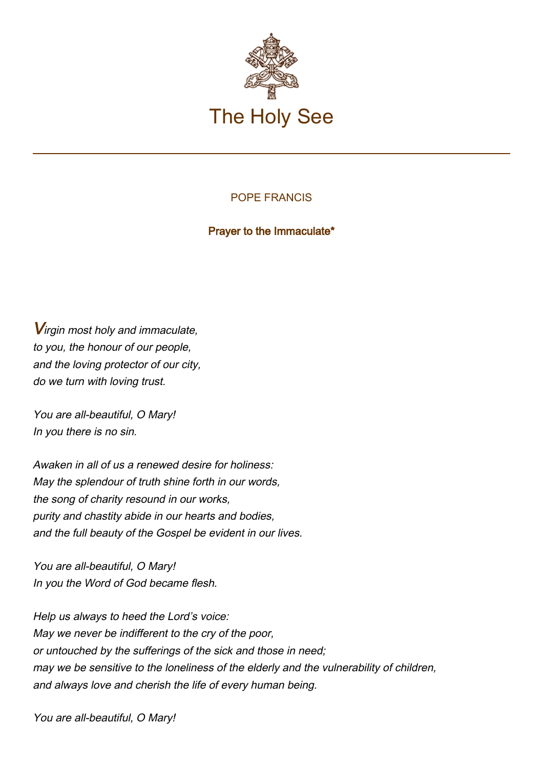

## POPE FRANCIS

Prayer to the Immaculate\*

**V**irgin most holy and immaculate. to you, the honour of our people, and the loving protector of our city, do we turn with loving trust.

You are all-beautiful, O Mary! In you there is no sin.

Awaken in all of us a renewed desire for holiness: May the splendour of truth shine forth in our words, the song of charity resound in our works, purity and chastity abide in our hearts and bodies, and the full beauty of the Gospel be evident in our lives.

You are all-beautiful, O Mary! In you the Word of God became flesh.

Help us always to heed the Lord's voice: May we never be indifferent to the cry of the poor, or untouched by the sufferings of the sick and those in need; may we be sensitive to the loneliness of the elderly and the vulnerability of children, and always love and cherish the life of every human being.

You are all-beautiful, O Mary!